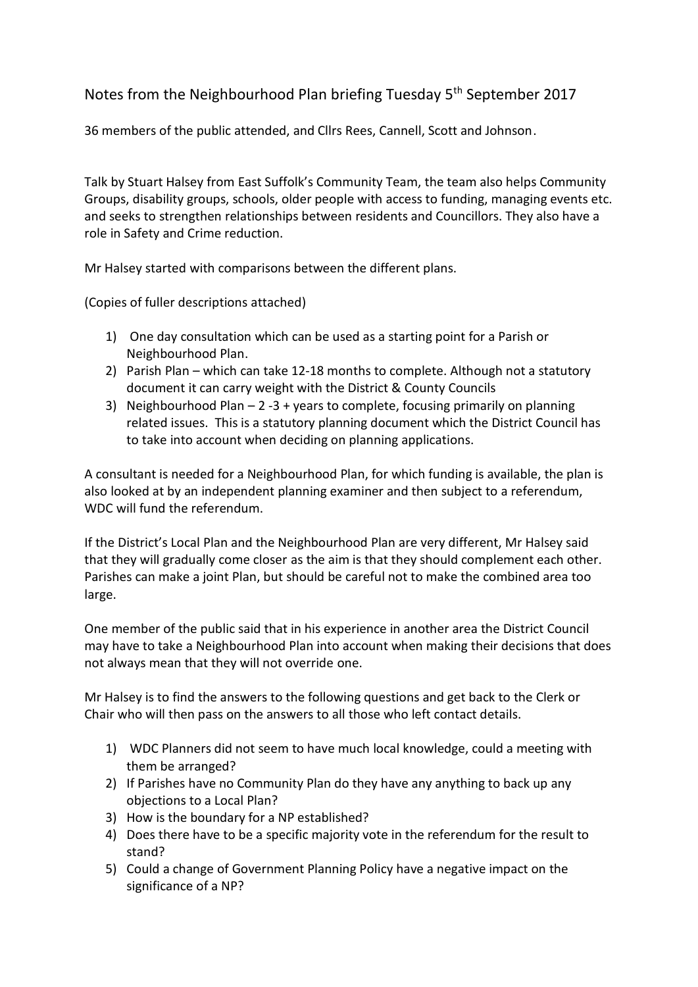Notes from the Neighbourhood Plan briefing Tuesday 5<sup>th</sup> September 2017

36 members of the public attended, and Cllrs Rees, Cannell, Scott and Johnson.

Talk by Stuart Halsey from East Suffolk's Community Team, the team also helps Community Groups, disability groups, schools, older people with access to funding, managing events etc. and seeks to strengthen relationships between residents and Councillors. They also have a role in Safety and Crime reduction.

Mr Halsey started with comparisons between the different plans.

(Copies of fuller descriptions attached)

- 1) One day consultation which can be used as a starting point for a Parish or Neighbourhood Plan.
- 2) Parish Plan which can take 12-18 months to complete. Although not a statutory document it can carry weight with the District & County Councils
- 3) Neighbourhood Plan  $-2-3 +$  years to complete, focusing primarily on planning related issues. This is a statutory planning document which the District Council has to take into account when deciding on planning applications.

A consultant is needed for a Neighbourhood Plan, for which funding is available, the plan is also looked at by an independent planning examiner and then subject to a referendum, WDC will fund the referendum.

If the District's Local Plan and the Neighbourhood Plan are very different, Mr Halsey said that they will gradually come closer as the aim is that they should complement each other. Parishes can make a joint Plan, but should be careful not to make the combined area too large.

One member of the public said that in his experience in another area the District Council may have to take a Neighbourhood Plan into account when making their decisions that does not always mean that they will not override one.

Mr Halsey is to find the answers to the following questions and get back to the Clerk or Chair who will then pass on the answers to all those who left contact details.

- 1) WDC Planners did not seem to have much local knowledge, could a meeting with them be arranged?
- 2) If Parishes have no Community Plan do they have any anything to back up any objections to a Local Plan?
- 3) How is the boundary for a NP established?
- 4) Does there have to be a specific majority vote in the referendum for the result to stand?
- 5) Could a change of Government Planning Policy have a negative impact on the significance of a NP?